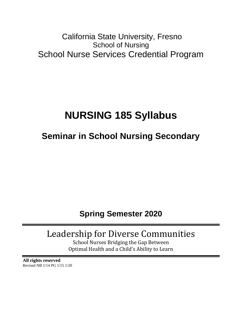# California State University, Fresno School of Nursing School Nurse Services Credential Program

# **NURSING 185 Syllabus**

# **Seminar in School Nursing Secondary**

# **Spring Semester 2020**

# Leadership for Diverse Communities

School Nurses Bridging the Gap Between Optimal Health and a Child's Ability to Learn

**All rights reserved** Revised NB 1/14 PG 1/15 1/20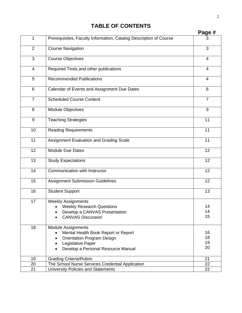# **TABLE OF CONTENTS**

|                |                                                                                                                                                                  | Page #               |
|----------------|------------------------------------------------------------------------------------------------------------------------------------------------------------------|----------------------|
| 1              | Prerequisites, Faculty Information, Catalog Description of Course                                                                                                | 3                    |
| $\overline{2}$ | <b>Course Navigation</b>                                                                                                                                         | 3                    |
| 3              | <b>Course Objectives</b>                                                                                                                                         | 4                    |
| 4              | Required Texts and other publications                                                                                                                            | $\overline{4}$       |
| 5              | <b>Recommended Publications</b>                                                                                                                                  | 4                    |
| 6              | Calendar of Events and Assignment Due Dates                                                                                                                      | 6                    |
| $\overline{7}$ | <b>Scheduled Course Content</b>                                                                                                                                  | $\overline{7}$       |
| 8              | Module Objectives                                                                                                                                                | 9                    |
| 9              | <b>Teaching Strategies</b>                                                                                                                                       | 11                   |
| 10             | <b>Reading Requirements</b>                                                                                                                                      | 11                   |
| 11             | Assignment Evaluation and Grading Scale                                                                                                                          | 11                   |
| 12             | <b>Module Due Dates</b>                                                                                                                                          | 12                   |
| 13             | <b>Study Expectations</b>                                                                                                                                        | 12                   |
| 14             | Communication with Instructor                                                                                                                                    | 12                   |
| 15             | <b>Assignment Submission Guidelines</b>                                                                                                                          | 12                   |
| 16             | <b>Student Support</b>                                                                                                                                           | 13                   |
| 17             | <b>Weekly Assignments</b><br><b>Weekly Research Questions</b><br>Develop a CANVAS Presentation<br><b>CANVAS Discussion</b>                                       | 14<br>14<br>15       |
| 18             | <b>Module Assignments</b><br>Mental Health Book Report or Report<br><b>Orientation Program Design</b><br>Legislative Paper<br>Develop a Personal Resource Manual | 16<br>18<br>19<br>20 |
| 19             | <b>Grading Criteria/Rubric</b>                                                                                                                                   | 21                   |
| 20             | The School Nurse Services Credential Application                                                                                                                 | 22                   |
| 21             | University Policies and Statements                                                                                                                               | 22                   |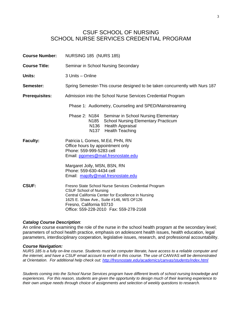# CSUF SCHOOL OF NURSING SCHOOL NURSE SERVICES CREDENTIAL PROGRAM

| <b>Course Number:</b> | <b>NURSING 185 (NURS 185)</b>                                                                                                                                                                                                                                    |
|-----------------------|------------------------------------------------------------------------------------------------------------------------------------------------------------------------------------------------------------------------------------------------------------------|
| <b>Course Title:</b>  | Seminar in School Nursing Secondary                                                                                                                                                                                                                              |
| Units:                | 3 Units - Online                                                                                                                                                                                                                                                 |
| Semester:             | Spring Semester-This course designed to be taken concurrently with Nurs 187                                                                                                                                                                                      |
| <b>Prerequisites:</b> | Admission into the School Nurse Services Credential Program                                                                                                                                                                                                      |
|                       | Phase 1: Audiometry, Counseling and SPED/Mainstreaming                                                                                                                                                                                                           |
|                       | Phase 2: N184 Seminar in School Nursing Elementary<br>N185 School Nursing Elementary Practicum<br>N136 Health Appraisal<br>N137 Health Teaching                                                                                                                  |
| <b>Faculty:</b>       | Patricia L Gomes, M.Ed, PHN, RN<br>Office hours by appointment only<br>Phone: 559-999-5283 cell<br>Email: pgomes@mail.fresnostate.edu                                                                                                                            |
|                       | Margaret Jolly, MSN, BSN, RN<br>Phone: 559-630-4434 cell<br>Email: majolly@mail.fresnostate.edu                                                                                                                                                                  |
| <b>CSUF:</b>          | Fresno State School Nurse Services Credential Program<br><b>CSUF School of Nursing</b><br>Central California Center for Excellence in Nursing<br>1625 E. Shaw Ave., Suite #146, M/S OF126<br>Fresno, California 93710<br>Office: 559-228-2010  Fax: 559-278-2168 |

#### *Catalog Course Description*:

An online course examining the role of the nurse in the school health program at the secondary level; parameters of school health practice, emphasis on adolescent health issues, health education, legal parameters, interdisciplinary cooperation, legislative issues, research, and professional accountability.

#### *Course Navigation:*

*NURS 185 is a fully on-line course. Students must be computer literate, have access to a reliable computer and the internet, and have a CSUF email account to enroll in this course. The use of CANVAS will be demonstrated at Orientation. For additional help check out:<http://fresnostate.edu/academics/canvas/students/index.html>*

*Students coming into the School Nurse Services program have different levels of school nursing knowledge and experiences. For this reason, students are given the opportunity to design much of their learning experience to their own unique needs through choice of assignments and selection of weekly questions to research.*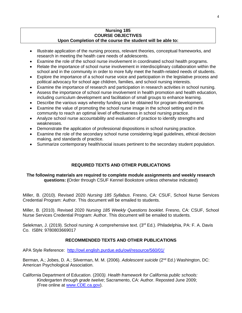#### **Nursing 185 COURSE OBJECTIVES Upon Completion of the course the student will be able to:**

- Illustrate application of the nursing process, relevant theories, conceptual frameworks, and research in meeting the health care needs of adolescents.
- Examine the role of the school nurse involvement in coordinated school health programs.
- Relate the importance of school nurse involvement in interdisciplinary collaboration within the school and in the community in order to more fully meet the health-related needs of students.
- Explore the importance of a school nurse voice and participation in the legislative process and political advocacy for school age children, families, and school nursing interests.
- Examine the importance of research and participation in research activities in school nursing.
- Assess the importance of school nurse involvement in health promotion and health education, including curriculum development and facilitation of small groups to enhance learning.
- Describe the various ways whereby funding can be obtained for program development.
- Examine the value of promoting the school nurse image in the school setting and in the community to reach an optimal level of effectiveness in school nursing practice.
- Analyze school nurse accountability and evaluation of practice to identify strengths and weaknesses.
- Demonstrate the application of professional dispositions in school nursing practice.
- Examine the role of the secondary school nurse considering legal guidelines, ethical decision making, and standards of practice.
- Summarize contemporary health/social issues pertinent to the secondary student population.

## **REQUIRED TEXTS AND OTHER PUBLICATIONS**

#### **The following materials are required to complete module assignments and weekly research questions: (**Order through CSUF Kennel Bookstore unless otherwise indicated)

Miller, B. (2010). Revised 2020 *Nursing 185 Syllabus*. Fresno, CA: CSUF, School Nurse Services Credential Program: Author. This document will be emailed to students.

Miller, B. (2010). Revised 2020 *Nursing 185 Weekly Questions booklet*. Fresno, CA: CSUF, School Nurse Services Credential Program: Author. This document will be emailed to students.

Selekman, J. (2019). School nursing: A comprehensive text. (3<sup>rd</sup> Ed.). Philadelphia, PA: F. A. Davis Co. ISBN: 9780803669017

#### **RECOMMENDED TEXTS AND OTHER PUBLICATIONS**

APA Style Reference: <http://owl.english.purdue.edu/owl/resource/560/01/>

Berman, A.; Jobes, D. A.; Silverman, M. M. (2006). *Adolescent suicide* (2nd Ed.) Washington, DC: American Psychological Association.

California Department of Education. (2003*). Health framework for California public schools: Kindergarten through grade twelve*; Sacramento, CA: Author. Reposted June 2009; (Free online at [www.CDE.ca.gov\)](http://www.cde.ca.gov/).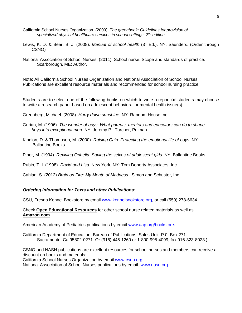- California School Nurses Organization. (2009). *The greenbook: Guidelines for provision of specialized physical healthcare services in school settings. 2nd edition.*
- Lewis, K. D. & Bear, B. J. (2008). *Manual of school health* (3rd Ed.). NY: Saunders. (Order through CSNO)
- National Association of School Nurses. (2011). School nurse: Scope and standards of practice. Scarborough, ME: Author.

Note: All California School Nurses Organization and National Association of School Nurses Publications are excellent resource materials and recommended for school nursing practice.

Students are to select one of the following books on which to write a report **or** students may choose to write a research paper based on adolescent behavioral or mental health issue(s):

Greenberg, Michael. (2008). *Hurry down sunshine.* NY: Random House Inc.

Gurian, M. (1996). *The wonder of boys: What parents, mentors and educators can do to shape boys into exceptional men*. NY: Jeremy P., Tarcher, Pulman.

Kindlon, D. & Thompson, M. (2000). *Raising Cain: Protecting the emotional life of boys*. NY: Ballantine Books.

Piper, M. (1994). *Reviving Ophelia: Saving the selves of adolescent girls*. NY: Ballantine Books.

Rubin, T. I. (1998). *David and Lisa*. New York, NY: Tom Doherty Associates, Inc.

Cahlan, S. (2012) *Brain on Fire: My Month of Madness.* Simon and Schuster, Inc.

#### *Ordering Information for Texts and other Publications*:

CSU, Fresno Kennel Bookstore by email [www.kennelbookstore.org,](http://www.kennelbookstore.org/) or call (559) 278-6634.

#### Check **Open Educational Resources** for other school nurse related materials as well as **Amazon.com**

American Academy of Pediatrics publications by email [www.aap.org/bookstore.](http://www.aap.org/bookstore)

California Department of Education, Bureau of Publications, Sales Unit, P.0. Box 271. Sacramento, Ca 95802-0271. Or (916) 445-1260 or 1-800-995-4099, fax 916-323-8023.)

CSNO and NASN publications are excellent resources for school nurses and members can receive a discount on books and materials:

California School Nurses Organization by email [www.csno.org.](file:///D:/Downloads/www.csno.org)

National Association of School Nurses publications by email [www.nasn.org.](http://www.nasn.org/)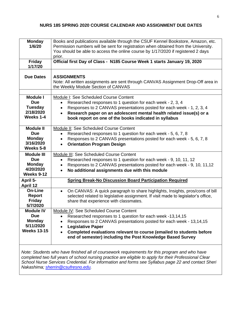#### **NURS 185 SPRING 2020 COURSE CALENDAR AND ASSIGNMENT DUE DATES**

| <b>Monday</b><br>1/6/20                                                            | Books and publications available through the CSUF Kennel Bookstore, Amazon, etc.<br>Permission numbers will be sent for registration when obtained from the University.<br>You should be able to access the online course by 1/17/2020 if registered 2 days<br>prior.                                                                          |
|------------------------------------------------------------------------------------|------------------------------------------------------------------------------------------------------------------------------------------------------------------------------------------------------------------------------------------------------------------------------------------------------------------------------------------------|
| <b>Friday</b><br>1/17/20                                                           | Official first Day of Class - N185 Course Week 1 starts January 19, 2020                                                                                                                                                                                                                                                                       |
| <b>Due Dates</b>                                                                   | <b>ASSIGNMENTS</b><br>Note: All written assignments are sent through CANVAS Assignment Drop-Off area in<br>the Weekly Module Section of CANVAS                                                                                                                                                                                                 |
| <b>Module I</b><br><b>Due</b><br><b>Tuesday</b><br>2/18/2020<br>Weeks 1-4          | Module I: See Scheduled Course Content<br>Researched responses to 1 question for each week - 2, 3, 4<br>$\bullet$<br>Responses to 2 CANVAS presentations posted for each week - 1, 2, 3, 4<br>$\bullet$<br>Research paper on an adolescent mental health related issue(s) or a<br>book report on one of the books indicated in syllabus        |
| <b>Module II</b><br><b>Due</b><br><b>Monday</b><br>3/16/2020<br>Weeks 5-8          | Module II: See Scheduled Course Content<br>Researched responses to 1 question for each week - 5, 6, 7, 8<br>$\bullet$<br>Responses to 2 CANVAS presentations posted for each week - 5, 6, 7, 8<br><b>Orientation Program Design</b><br>$\bullet$                                                                                               |
| <b>Module III</b><br><b>Due</b><br><b>Monday</b><br>4/20/2020<br>Weeks 9-12        | Module III: See Scheduled Course Content<br>Researched responses to 1 question for each week - 9, 10, 11, 12<br>$\bullet$<br>Responses to 2 CANVAS presentations posted for each week - 9, 10, 11,12<br>$\bullet$<br>No additional assignments due with this module                                                                            |
| April 5-<br>April 12                                                               | <b>Spring Break-No Discussion Board Participation Required</b>                                                                                                                                                                                                                                                                                 |
| <b>On-Line</b><br><b>Report</b><br><b>Friday</b><br>5/7/2020                       | On CANVAS: A quick paragraph to share highlights, Insights, pros/cons of bill<br>$\bullet$<br>selected related to legislative assignment. If visit made to legislator's office,<br>share that experience with classmates.                                                                                                                      |
| <b>Module IV</b><br><b>Due</b><br><b>Monday</b><br>5/11/2020<br><b>Weeks 13-15</b> | Module IV: See Scheduled Course Content<br>Researched responses to 1 question for each week -13,14,15<br>Responses to 2 CANVAS presentations posted for each week - 13,14,15<br><b>Legislative Paper</b><br>Completed evaluations relevant to course (emailed to students before<br>end of semester) including the Post Knowledge Based Survey |

*Note: Students who have finished all of coursework requirements for this program and who have completed two full years of school nursing practice are eligible to apply for their Professional Clear School Nurse Services Credential. For information and forms see Syllabus page 22 and contact Sheri Nakashima; [sherrin@csufresno.edu.](mailto:sherrin@csufresno.edu)*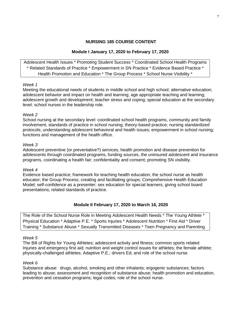#### **NURSING 185 COURSE CONTENT**

#### **Module I January 17, 2020 to February 17, 2020**

Adolescent Health Issues \* Promoting Student Success \* Coordinated School Health Programs \* Related Standards of Practice \* Empowerment in SN Practice \* Evidence Based Practice \* Health Promotion and Education \* The Group Process \* School Nurse Visibility \*

#### *Week 1*

Meeting the educational needs of students in middle school and high school; alternative education; adolescent behavior and impact on health and learning; age appropriate teaching and learning; adolescent growth and development; teacher stress and coping; special education at the secondary level; school nurses in the leadership role.

#### W*eek 2*

School nursing at the secondary level: coordinated school health programs, community and family involvement; standards of practice in school nursing; theory-based practice; nursing standardized protocols; understanding adolescent behavioral and health issues; empowerment in school nursing; functions and management of the health office.

#### *Week 3*

Adolescent preventive (or preventative?) services, health promotion and disease prevention for adolescents through coordinated programs, funding sources, the uninsured adolescent and insurance programs, coordinating a health fair; confidentiality and consent; promoting SN visibility.

#### *Week 4*

Evidence based practice; framework for teaching health education; the school nurse as health educator; the Group Process; creating and facilitating groups; Comprehensive Health Education Model; self-confidence as a presenter; sex education for special learners; giving school board presentations; related standards of practice.

#### **Module II February 17, 2020 to March 16, 2020**

The Role of the School Nurse Role in Meeting Adolescent Health Needs \* The Young Athlete \* Physical Education \* Adaptive P.E. \* Sports Injuries \* Adolescent Nutrition \* First Aid \* Driver Training \* Substance Abuse \* Sexually Transmitted Diseases \* Teen Pregnancy and Parenting

#### *Week 5*

The Bill of Rights for Young Athletes; adolescent activity and fitness; common sports related Injuries and emergency first aid; nutrition and weight control issues for athletes; the female athlete; physically-challenged athletes; Adaptive P.E.; drivers Ed; and role of the school nurse.

#### *Week 6*

Substance abuse: drugs, alcohol, smoking and other inhalants; ergogenic substances; factors leading to abuse; assessment and recognition of substance abuse; health promotion and education, prevention and cessation programs; legal codes; role of the school nurse.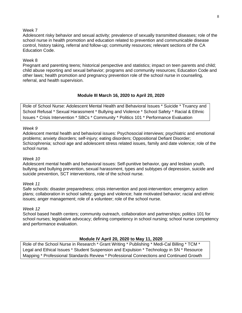#### Week 7

Adolescent risky behavior and sexual activity; prevalence of sexually transmitted diseases; role of the school nurse in health promotion and education related to prevention and communicable disease control, history taking, referral and follow-up; community resources; relevant sections of the CA Education Code.

#### Week 8

Pregnant and parenting teens; historical perspective and statistics; impact on teen parents and child; child abuse reporting and sexual behavior; programs and community resources; Education Code and other laws; health promotion and pregnancy prevention role of the school nurse in counseling, referral, and health supervision.

## **Module III March 16, 2020 to April 20, 2020**

Role of School Nurse: Adolescent Mental Health and Behavioral Issues \* Suicide \* Truancy and School Refusal \* Sexual Harassment \* Bullying and Violence \* School Safety \* Racial & Ethnic Issues \* Crisis Intervention \* SBCs \* Community \* Politics 101 \* Performance Evaluation

#### *Week 9*

Adolescent mental health and behavioral issues: Psychosocial interviews; psychiatric and emotional problems; anxiety disorders; self-injury; eating disorders; Oppositional Defiant Disorder; Schizophrenia; school age and adolescent stress related issues, family and date violence; role of the school nurse.

#### *Week 10*

Adolescent mental health and behavioral issues: Self-punitive behavior, gay and lesbian youth, bullying and bullying prevention, sexual harassment, types and subtypes of depression, suicide and suicide prevention, SCT interventions, role of the school nurse.

#### *Week 11*

Safe schools: disaster preparedness; crisis intervention and post-intervention; emergency action plans; collaboration in school safety; gangs and violence; hate motivated behavior; racial and ethnic issues; anger management; role of a volunteer; role of the school nurse.

#### *Week 12*

School based health centers; community outreach, collaboration and partnerships; politics 101 for school nurses; legislative advocacy; defining competency in school nursing; school nurse competency and performance evaluation.

#### **Module IV April 20, 2020 to May 11, 2020**

Role of the School Nurse in Research \* Grant Writing \* Publishing \* Medi-Cal Billing \* TCM \* Legal and Ethical Issues \* Student Suspension and Expulsion \* Technology in SN \* Resource Mapping \* Professional Standards Review \* Professional Connections and Continued Growth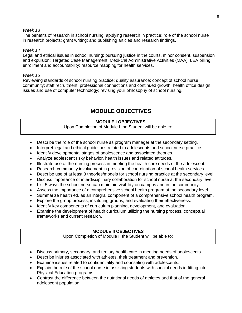#### *Week 13*

The benefits of research in school nursing; applying research in practice; role of the school nurse in research projects; grant writing; and publishing articles and research findings.

#### *Week 14*

Legal and ethical issues in school nursing; pursuing justice in the courts, minor consent, suspension and expulsion; Targeted Case Management; Medi-Cal Administrative Activities (MAA); LEA billing, enrollment and accountability; resource mapping for health services.

#### *Week 15*

Reviewing standards of school nursing practice; quality assurance; concept of school nurse community; staff recruitment; professional connections and continued growth; health office design issues and use of computer technology; revising your philosophy of school nursing.

# **MODULE OBJECTIVES**

### **MODULE I OBJECTIVES**

Upon Completion of Module I the Student will be able to:

- Describe the role of the school nurse as program manager at the secondary setting.
- Interpret legal and ethical guidelines related to adolescents and school nurse practice.
- Identify developmental stages of adolescence and associated theories.
- Analyze adolescent risky behavior, health issues and related attitudes.
- Illustrate use of the nursing process in meeting the health care needs of the adolescent.
- Research community involvement in provision of coordination of school health services.
- Describe use of at least 3 theories/models for school nursing practice at the secondary level.
- Discuss importance of interdisciplinary collaboration for school nurse at the secondary level.
- List 5 ways the school nurse can maintain visibility on campus and in the community.
- Assess the importance of a comprehensive school health program at the secondary level.
- Summarize health ed. as an integral component of a comprehensive school health program.
- Explore the group process, instituting groups, and evaluating their effectiveness.
- Identify key components of curriculum planning, development, and evaluation.
- Examine the development of health curriculum utilizing the nursing process, conceptual frameworks and current research.

#### **MODULE II OBJECTIVES**

Upon Completion of Module II the Student will be able to:

- Discuss primary, secondary, and tertiary health care in meeting needs of adolescents.
- Describe injuries associated with athletes, their treatment and prevention.
- Examine issues related to confidentiality and counseling with adolescents.
- Explain the role of the school nurse in assisting students with special needs in fitting into Physical Education programs.
- Contrast the difference between the nutritional needs of athletes and that of the general adolescent population.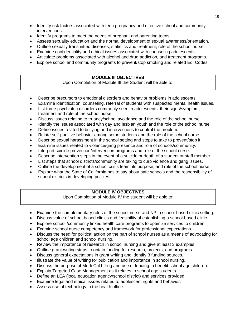- Identify risk factors associated with teen pregnancy and effective school and community interventions.
- Identify programs to meet the needs of pregnant and parenting teens.
- Assess sexuality education and the normal development of sexual awareness/orientation.
- Outline sexually transmitted diseases, statistics and treatment, role of the school nurse.
- Examine confidentiality and ethical issues associated with counseling adolescents.
- Articulate problems associated with alcohol and drug addiction, and treatment programs.
- Explore school and community programs to prevent/stop smoking and related Ed. Codes.

## **MODULE III OBJECTIVES**

Upon Completion of Module III the Student will be able to:

- Describe precursors to emotional disorders and behavior problems in adolescents.
- Examine identification, counseling, referral of students with suspected mental health issues.
- List three psychiatric disorders commonly seen in adolescents, their signs/symptom, treatment and role of the school nurse.
- Discuss issues relating to truancy/school avoidance and the role of the school nurse.
- Identify the issues associated with gay and lesbian youth and the role of the school nurse.
- Define issues related to bullying and interventions to control the problem.
- Relate self-punitive behavior among some students and the role of the school nurse.
- Describe sexual harassment in the school setting and steps to take to prevent/stop it.
- Examine issues related to violence/gang presence and role of schools/community.
- Interpret suicide prevention/intervention programs and role of the school nurse.
- Describe intervention steps in the event of a suicide or death of a student or staff member.
- List steps that school districts/community are taking to curb violence and gang issues.
- Outline the development of a school crisis team, its purpose, and role of the school nurse.
- Explore what the State of California has to say about safe schools and the responsibility of school districts in developing policies.

## **MODULE IV OBJECTIVES**

Upon Completion of Module IV the student will be able to:

- Examine the complementary roles of the school nurse and NP in school-based clinic setting.
- Discuss value of school-based clinics and feasibility of establishing a school-based clinic.
- Explore school /community linked health care programs to optimize services to children.
- Examine school nurse competency and framework for professional expectations.
- Discuss the need for political action on the part of school nurses as a means of advocating for school age children and school nursing.
- Review the importance of research in school nursing and give at least 3 examples.
- Outline grant writing steps to obtain funding for research, projects, and programs.
- Discuss general expectations in grant writing and identify 3 funding sources.
- Illustrate the value of writing for publication and importance in school nursing.
- Discuss the purpose of Medi-Cal billing and use of funding to benefit school age children.
- Explain Targeted Case Management as it relates to school age students.
- Define an LEA (local education agency/school district) and services provided.
- Examine legal and ethical issues related to adolescent rights and behavior.
- Assess use of technology in the health office.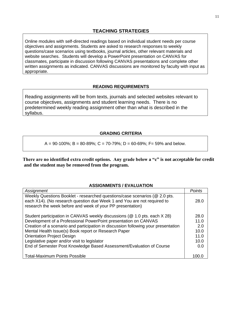Online modules with self-directed readings based on individual student needs per course objectives and assignments. Students are asked to research responses to weekly questions/case scenarios using textbooks, journal articles, other relevant materials and website searches. Students will develop a PowerPoint presentation on CANVAS for classmates, participate in discussion following CANVAS presentations and complete other written assignments as indicated. CANVAS discussions are monitored by faculty with input as appropriate.

#### **READING REQUIREMENTS**

Reading assignments will be from texts, journals and selected websites relevant to course objectives, assignments and student learning needs. There is no predetermined weekly reading assignment other than what is described in the syllabus.

## **GRADING CRITERIA**

#### $A = 90-100\%$ ; B = 80-89%; C = 70-79%; D = 60-69%; F = 59% and below.

**There are no identified extra credit options. Any grade below a "c" is not acceptable for credit and the student may be removed from the program.**

#### **ASSIGNMENTS / EVALUATION**

| Assignment                                                                                                                                                                                                          | Points |
|---------------------------------------------------------------------------------------------------------------------------------------------------------------------------------------------------------------------|--------|
| Weekly Questions Booklet - researched questions/case scenarios (@ 2.0 pts.<br>each X14). (No research question due Week 1 and You are not required to<br>research the week before and week of your PP presentation) | 28.0   |
| Student participation in CANVAS weekly discussions (@ 1.0 pts. each X 28)                                                                                                                                           | 28.0   |
| Development of a Professional PowerPoint presentation on CANVAS                                                                                                                                                     | 11.0   |
| Creation of a scenario and participation in discussion following your presentation                                                                                                                                  | 2.0    |
| Mental Health Issue(s) Book report or Research Paper                                                                                                                                                                | 10.0   |
| <b>Orientation Project Design</b>                                                                                                                                                                                   | 11.0   |
| Legislative paper and/or visit to legislator                                                                                                                                                                        | 10.0   |
| End of Semester Post Knowledge Based Assessment/Evaluation of Course                                                                                                                                                | 0.0    |
|                                                                                                                                                                                                                     |        |
| <b>Total-Maximum Points Possible</b>                                                                                                                                                                                |        |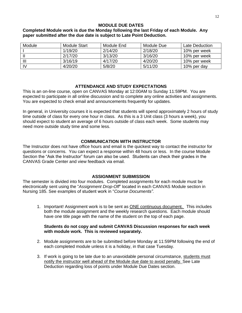#### **MODULE DUE DATES**

#### **Completed Module work is due the Monday following the last Friday of each Module. Any paper submitted after the due date is subject to Late Point Deduction.**

| Module | Module Start | Module End | Module Due | Late Deduction |
|--------|--------------|------------|------------|----------------|
|        | 1/19/20      | 2/14/20    | 2/18/20    | 10% per week   |
|        | 2/17/20      | 3/13/20    | 3/16/20    | 10% per week   |
| Ш      | 3/16/19      | 4/17/20    | 4/20/20    | 10% per week   |
| IV     | 4/20/20      | 5/8/20     | 5/11/20    | 10% per day    |

#### **ATTENDANCE AND STUDY EXPECTATIONS**

This is an on-line course, open on CANVAS Monday at 12:00AM to Sunday 11:59PM. You are expected to participate in all online discussion and to complete any online activities and assignments. You are expected to check email and announcements frequently for updates.

In general, in University courses it is expected that students will spend approximately 2 hours of study time outside of class for every one hour in class. As this is a 3 Unit class (3 hours a week), you should expect to student an average of 6 hours outside of class each week. Some students may need more outside study time and some less.

#### **COMMUNICATION WITH INSTRUCTOR**

The Instructor does not have office hours and email is the quickest way to contact the instructor for questions or concerns. You can expect a response within 48 hours or less. In the course Module Section the "Ask the Instructor" forum can also be used. Students can check their grades in the CANVAS Grade Center and view feedback via email.

#### **ASSIGNMENT SUBMISSION**

The semester is divided into four modules.Completed assignments for each module must be electronically sent using the "*Assignment Drop-Off*" located in each CANVAS Module section in Nursing 185. See examples of student work in "*Course Documents".*

1. Important! Assignment work is to be sent as **ONE** continuous document. This includes both the module assignment and the weekly research questions. Each module should have one title page with the name of the student on the top of each page.

#### **Students do not copy and submit CANVAS Discussion responses for each week with module work. This is reviewed separately.**

- 2. Module assignments are to be submitted before Monday at 11:59PM following the end of each completed module unless it is a holiday, in that case Tuesday.
- 3. If work is going to be late due to an unavoidable personal circumstance, students must notify the instructor well ahead of the Module due date to avoid penalty. See Late Deduction regarding loss of points under Module Due Dates section.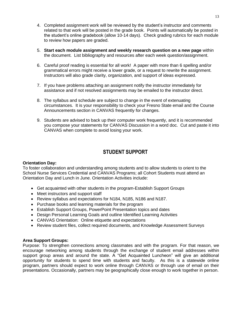- 4. Completed assignment work will be reviewed by the student's instructor and comments related to that work will be posted in the grade book. Points will automatically be posted in the student's online gradebook (allow 10-14 days). Check grading rubrics for each module to review how papers are graded.
- 5. **Start each module assignment and weekly research question on a new page** within the document. List bibliography and resources after each week question/assignment.
- 6. Careful proof reading is essential for all work! A paper with more than 6 spelling and/or grammatical errors might receive a lower grade, or a request to rewrite the assignment. Instructors will also grade clarity, organization, and support of ideas expressed.
- 7. If you have problems attaching an assignment notify the instructor immediately for assistance and if not resolved assignments may be emailed to the instructor direct.
- 8. The syllabus and schedule are subject to change in the event of extenuating circumstances. It is your responsibility to check your Fresno State email and the Course Announcements section in CANVAS frequently for changes.
- 9. Students are advised to back up their computer work frequently, and it is recommended you compose your statements for CANVAS Discussion in a word doc. Cut and paste it into CANVAS when complete to avoid losing your work.

# **STUDENT SUPPORT**

#### **Orientation Day:**

To foster collaboration and understanding among students and to allow students to orient to the School Nurse Services Credential and CANVAS Programs; all Cohort Students must attend an Orientation Day and Lunch in June. Orientation Activities include:

- Get acquainted with other students in the program-Establish Support Groups
- Meet instructors and support staff
- Review syllabus and expectations for N184, N185, N186 and N187.
- Purchase books and learning materials for the program
- Establish Support Groups, PowerPoint Presentation topics and dates
- Design Personal Learning Goals and outline Identified Learning Activities
- CANVAS Orientation: Online etiquette and expectations
- Review student files, collect required documents, and Knowledge Assessment Surveys

#### **Area Support Groups:**

Purpose: To strengthen connections among classmates and with the program. For that reason, we encourage networking among students through the exchange of student email addresses within support group areas and around the state. A "Get Acquainted Luncheon" will give an additional opportunity for students to spend time with students and faculty. As this is a statewide online program, partners should expect to work online through CANVAS or through use of email on their presentations. Occasionally, partners may be geographically close enough to work together in person.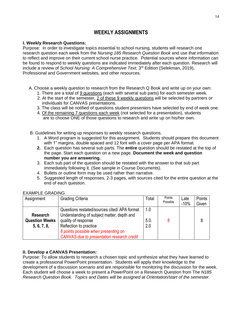# **WEEKLY ASSIGNMENTS**

#### **I. Weekly Research Questions:**

Purpose: In order to investigate topics essential to school nursing, students will research one research question each week from the *Nursing 185 Research Question Book* and use that information to reflect and improve on their current school nurse practice. Potential sources where information can be found to respond to weekly questions are indicated immediately after each question. Research will include a review of *School Nursing: A Comprehensive Text*, 3<sup>rd</sup> Edition (Selekman, 2019), Professional and Government websites, and other resources.

- A. Choose a weekly question to research from the Research Q Book and write up on your own:
	- 1. There are a total of 9 questions (each with several sub parts) for each semester week.
	- 2. At the start of the semester, 2 of these 9 weekly questions will be selected by partners or individuals for CANVAS presentations.
	- 3. The class will be notified of questions student presenters have selected by end of week one.
	- 4*.* Of the remaining 7 questions each week (not selected for a presentation), students are to choose ONE of those questions to research and write up on his/her own.
- B. Guidelines for writing up responses to weekly research questions.
	- 1. A Word program is suggested for this assignment. Students should prepare this document with 1" margins, double spaced and 12 font with a cover page per APA format.
	- **2.** Each question has several sub parts. The **entire** question should be restated at the top of the page. Start each question on a new page. **Document the week and question number you are answering.**
	- 3. Each sub part of the question should be restated with the answer to that sub part immediately following it. (See sample in Course Documents).
	- 4. Bullets or outline form may be used rather than narrative.
	- 5. Suggested length of responses, 2-3 pages, with sources cited for the entire question at the end of each question.

| Assignment                           | <b>Grading Criteria</b>                                                                    | Total       | Points<br>Possible | Late<br>$-10%$ | Points<br>Given |
|--------------------------------------|--------------------------------------------------------------------------------------------|-------------|--------------------|----------------|-----------------|
| <b>Research</b>                      | Questions restated/sources cited/ APA format<br>Understanding of subject matter, depth and | 1.0         |                    |                |                 |
| <b>Question Weeks</b><br>5, 6, 7, 8, | quality of response<br>Reflection to practice                                              | 5.0.<br>2.0 |                    |                | 8               |
|                                      | 8 points possible when presenting on<br>CANVAS-due to presentation research credit         |             |                    |                |                 |

## EXAMPLE GRADING

#### **II. Develop a CANVAS Presentation:**

Purpose: To allow students to research a chosen topic and synthesize what they have learned to create a professional PowerPoint presentation. Students will apply their knowledge to the development of a discussion scenario and are responsible for monitoring the discussion for the week. Each student will choose a week to present a PowerPoint on a Research Question from T*he N185 Research Question Book*. *Topics and Dates will be assigned at Orientation/start of the semester.*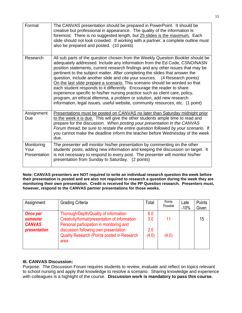| Format                             | The CANVAS presentation should be prepared in PowerPoint. It should be<br>creative but professional in appearance. The quality of the information is<br>foremost. There is no suggested length, but 25 slides is the maximum. Each<br>slide should not look crowded. If working with a partner, a complete outline must<br>also be prepared and posted. (10 points)                                                                                                                                                                                                                                                                                                                                                                                                                                               |
|------------------------------------|-------------------------------------------------------------------------------------------------------------------------------------------------------------------------------------------------------------------------------------------------------------------------------------------------------------------------------------------------------------------------------------------------------------------------------------------------------------------------------------------------------------------------------------------------------------------------------------------------------------------------------------------------------------------------------------------------------------------------------------------------------------------------------------------------------------------|
| Research                           | All sub parts of the question chosen from the Weekly Question Booklet should be<br>adequately addressed. Include any information from the Ed Code, CSNO/NASN<br>position statements, current research findings and any other issues that may be<br>pertinent to the subject matter. After completing the slides that answer the<br>question, include another slide and cite your sources. (4 Research points)<br>On the last slide prepare a scenario. This scenario should be worded so that<br>each student responds to it differently. Encourage the reader to share<br>experience specific to his/her nursing practice such as client care, policy,<br>program, an ethical dilemma, a problem or solution, add new research<br>information, legal issues, useful website, community resources, etc. (1 point) |
| Assignment<br>Due                  | Presentations must be posted on CANVAS no later than Saturday midnight prior<br>to the week it is due. This will give the other students ample time to read and<br>prepare for the discussion. When posting your presentation in the CANVAS<br>Forum thread, be sure to restate the entire question followed by your scenario. If<br>you cannot make the deadline inform the teacher before Wednesday of the week<br>due.                                                                                                                                                                                                                                                                                                                                                                                         |
| Monitoring<br>Your<br>Presentation | The presenter will monitor his/her presentation by commenting on the other<br>students' posts, adding new information and keeping the discussion on target. It<br>is not necessary to respond to every post. The presenter will monitor his/her<br>presentation from Sunday to Saturday. (2 points)                                                                                                                                                                                                                                                                                                                                                                                                                                                                                                               |

**Note: CANVAS presenters are NOT required to write an individual research question the week before their presentation is posted and are also not required to research a question during the week they are monitoring their own presentation. Credit is received for the PP Question research. Presenters must, however, respond to the CANVAS partner presentations for those weeks.** 

| Assignment                    | <b>Grading Criteria</b>                                                           | Total | Points<br>Possible | Late<br>$-10%$ | Points<br>Given |
|-------------------------------|-----------------------------------------------------------------------------------|-------|--------------------|----------------|-----------------|
| <b>Once per</b>               | Thorough/Depth/Quality of information                                             | 6.0   |                    |                |                 |
| semester                      | Creativity/format/presentation of information                                     | 3.0   | 11                 |                | 15              |
| <b>CANVAS</b><br>presentation | Personal participation in monitoring and<br>discussion following own presentation | 2.0   |                    |                |                 |
|                               | <b>Quality Research (Points posted in Research</b>                                | (4.0) | (4.0)              |                |                 |
|                               | area                                                                              |       |                    |                |                 |

#### **III. CANVAS Discussion:**

Purpose: The Discussion Forum requires students to review, evaluate and reflect on topics relevant to school nursing and apply that knowledge to resolve a scenario. Sharing knowledge and experience with colleagues is a highlight of the course. **Discussion work is mandatory to pass this course.**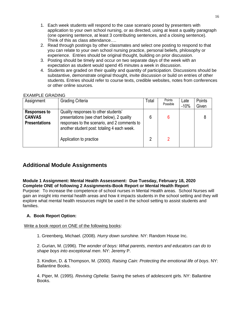- 1. Each week students will respond to the case scenario posed by presenters with application to your own school nursing, or as directed, using at least a quality paragraph (one opening sentence, at least 3 contributing sentences, and a closing sentence). Think of this as class attendance….
- 2. Read through postings by other classmates and select one posting to respond to that you can relate to your own school nursing practice, personal beliefs, philosophy or experience. Entries should be original thought, building on prior discussion.
- 3. Posting should be timely and occur on two separate days of the week with an expectation as student would spend 45 minutes a week in discussion.
- 4. Students are graded on their quality and quantity of participation. Discussions should be substantive, demonstrate original thought, invite discussion or build on entries of other students. Entries should refer to course texts, credible websites, notes from conferences or other online sources.

#### EXAMPLE GRADING

| Assignment                                                   | <b>Grading Criteria</b>                                                                                                                                                           | Total | Points<br>Possible | Late<br>$-10%$ | Points<br>Given |
|--------------------------------------------------------------|-----------------------------------------------------------------------------------------------------------------------------------------------------------------------------------|-------|--------------------|----------------|-----------------|
| <b>Responses to</b><br><b>CANVAS</b><br><b>Presentations</b> | Quality responses to other students'<br>presentations (see chart below), 2 quality<br>responses to the scenario, and 2 comments to<br>another student post: totaling 4 each week. | 6     |                    |                | 8               |
|                                                              | Application to practice                                                                                                                                                           | 2     | 2                  |                |                 |

# **Additional Module Assignments**

**Module 1 Assignment: Mental Health Assessment: Due Tuesday, February 18, 2020 Complete ONE of following 2 Assignments-Book Report or Mental Health Report** Purpose: To increase the competence of school nurses in Mental Health areas. School Nurses will gain an insight into mental health areas and how it impacts students in the school setting and they will explore what mental health resources might be used in the school setting to assist students and families.

## **A. Book Report Option:**

Write a book report on ONE of the following books:

1. Greenberg, Michael. (2008). *Hurry down sunshine*. NY: Random House Inc.

2. Gurian, M. (1996). *The wonder of boys: What parents, mentors and educators can do to shape boys into exceptional men*. NY: Jeremy P.

3. Kindlon, D. & Thompson, M. (2000). *Raising Cain: Protecting the emotional life of boys*. NY: Ballantine Books.

4. Piper, M. (1995). *Reviving Ophelia*: Saving the selves of adolescent girls. NY: Ballantine Books.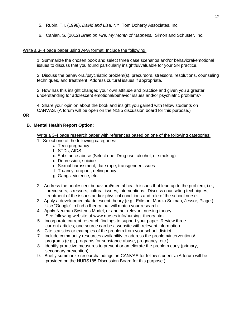- 5. Rubin, T.I. (1998). *David and Lisa*. NY: Tom Doherty Associates, Inc.
- 6. Cahlan, S. (2012) *Brain on Fire: My Month of Madness.* Simon and Schuster, Inc.

#### Write a 3- 4 page paper using APA format. Include the following:

1. Summarize the chosen book and select three case scenarios and/or behavioral/emotional issues to discuss that you found particularly insightful/valuable for your SN practice.

2. Discuss the behavioral/psychiatric problem(s), precursors, stressors, resolutions, counseling techniques, and treatment. Address cultural issues if appropriate.

3. How has this insight changed your own attitude and practice and given you a greater understanding for adolescent emotional/behavior issues and/or psychiatric problems?

4. Share your opinion about the book and insight you gained with fellow students on CANVAS. (A forum will be open on the N185 discussion board for this purpose.)

#### **OR**

#### **B. Mental Health Report Option:**

Write a 3-4 page research paper with references based on one of the following categories:

- 1. Select one of the following categories:
	- a. Teen pregnancy
	- b. STDs, AIDS
	- c. Substance abuse (Select one: Drug use, alcohol, or smoking)
	- d. Depression, suicide
	- e. Sexual harassment, date rape, transgender issues
	- f. Truancy, dropout, delinquency
	- g. Gangs, violence, etc.
- 2. Address the adolescent behavioral/mental health issues that lead up to the problem, i.e., precursors, stressors, cultural issues, interventions. Discuss counseling techniques, treatment of the issues and/or physical conditions and role of the school nurse.
- 3. Apply a developmental/adolescent theory (e.g., Erikson, Marcia Selman, Jessor, Piaget). Use "Google" to find a theory that will match your research.
- 4. Apply Neuman Systems Model, or another relevant nursing theory. See following website at www.nurses.info/nursing theory.htm.
- 5. Incorporate current research findings to support your paper. Review three current articles; one source can be a website with relevant information.
- 6. Cite statistics or examples of the problem from your school district.
- 7. Include community resources availability to address the problem/interventions/ programs (e.g., programs for substance abuse, pregnancy, etc.).
- 8. Identify proactive measures to prevent or ameliorate the problem early (primary, secondary prevention).
- 9. Briefly summarize research/findings on CANVAS for fellow students. (A forum will be provided on the NURS185 Discussion Board for this purpose.)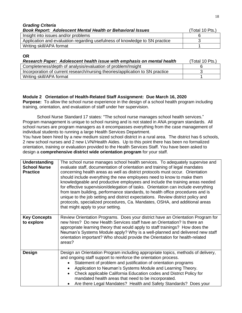| <b>Grading Criteria</b>                                                     |                 |
|-----------------------------------------------------------------------------|-----------------|
| <b>Book Report: Adolescent Mental Health or Behavioral Issues</b>           | (Total 10 Pts.) |
| Insight into issues and/or problems                                         |                 |
| Application and evaluation regarding usefulness of knowledge to SN practice |                 |
| Writing skill/APA format                                                    |                 |

#### **OR**

| Research Paper: Adolescent health issue with emphasis on mental health        | (Total 10 Pts.) |
|-------------------------------------------------------------------------------|-----------------|
| Completeness/depth of analysis/evaluation of problem/Insight                  |                 |
| Incorporation of current research/nursing theories/application to SN practice |                 |
| Writing skill/APA format                                                      |                 |

#### **Module 2 Orientation of Health-Related Staff Assignment: Due March 16, 2020**

**Purpose:** To allow the school nurse experience in the design of a school health program including training, orientation, and evaluation of staff under her supervision.

School Nurse Standard 17 states: "The school nurse manages school health services." Program management is unique to school nursing and is not stated in ANA program standards. All school nurses are program managers as it encompasses everything from the case management of individual students to running a large Health Services Department.

You have been hired by a new medium sized school district in a rural area. The district has 6 schools, 2 new school nurses and 2 new LVN/Health Aides. Up to this point there has been no formalized orientation, training or evaluation provided to the Health Services Staff. You have been asked to design a **comprehensive district wide orientation program** for your staff.

| Understanding<br><b>School Nurse</b><br><b>Practice</b> | The school nurse manages school health services. To adequately supervise and<br>evaluate staff, documentation of orientation and training of legal mandates<br>concerning health areas as well as district protocols must occur. Orientation<br>should include everything the new employees need to know to make them<br>knowledgeable and productive employees and include the training areas needed<br>for effective supervision/delegation of tasks. Orientation can include everything<br>from team building, performance standards, to health office procedures and is<br>unique to the job setting and district expectations. Review district policy and<br>protocols, specialized procedures, Ca. Mandates, OSHA, and additional areas<br>that might apply to your setting. |  |
|---------------------------------------------------------|------------------------------------------------------------------------------------------------------------------------------------------------------------------------------------------------------------------------------------------------------------------------------------------------------------------------------------------------------------------------------------------------------------------------------------------------------------------------------------------------------------------------------------------------------------------------------------------------------------------------------------------------------------------------------------------------------------------------------------------------------------------------------------|--|
| <b>Key Concepts</b><br>to explore                       | Review Orientation Programs. Does your district have an Orientation Program for<br>new hires? Do new Health Services staff have an Orientation? Is there an<br>appropriate learning theory that would apply to staff trainings? How does the<br>Neuman's Systems Module apply? Why is a well-planned and delivered new staff<br>orientation important? Who should provide the Orientation for health-related<br>areas?                                                                                                                                                                                                                                                                                                                                                             |  |
| <b>Design</b>                                           | Design an Orientation Program including appropriate topics, methods of delivery,<br>and ongoing staff support to reinforce the orientation process.<br>Statement of problem and justification of orientation programs<br>Application to Neuman's Systems Module and Learning Theory.<br>Check applicable California Education codes and District Policy for<br>mandated health areas that need to be incorporated.<br>Are there Legal Mandates? Health and Safety Standards? Does your                                                                                                                                                                                                                                                                                             |  |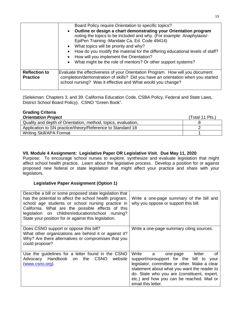|                                         | Board Policy require Orientation to specific topics?                                                                                                                                                                                                                                                                                                                                                                                   |
|-----------------------------------------|----------------------------------------------------------------------------------------------------------------------------------------------------------------------------------------------------------------------------------------------------------------------------------------------------------------------------------------------------------------------------------------------------------------------------------------|
|                                         | • Outline or design a chart demonstrating your Orientation program<br>noting the topics to be included and why. (For example: Anaphylaxis/-<br>EpiPen Training -Mandate Ca. Ed. Code 49414)<br>• What topics will be priority and why?<br>How do you modify the material for the differing educational levels of staff?<br>• How will you implement the Orientation?<br>• What might be the role of mentors? Or other support systems? |
| <b>Reflection to</b><br><b>Practice</b> | Evaluate the effectiveness of your Orientation Program. How will you document<br>completion/demonstration of skills? Did you have an orientation when you started<br>school nursing? Was it effective and What would you change?                                                                                                                                                                                                       |

(Selekman: Chapters 3, and 39. California Education Code, CSBA Policy, Federal and State Laws, District School Board Policy). CSNO "Green Book".

# **Grading Criteria**

| <b>Orientation Project</b>                                    | (Total 11 Pts.) |
|---------------------------------------------------------------|-----------------|
| Quality and depth of Orientation, method, topics, evaluation, |                 |
| Application to SN practice/theory/Reference to Standard 18    |                 |
| <b>Writing Skill/APA Format</b>                               |                 |

## **VII. Module 4 Assignment: Legislative Paper OR Legislative Visit. Due May 11, 2020**

Purpose: To encourage school nurses to explore, synthesize and evaluate legislation that might affect school health practice. Learn about the legislative process. Develop a position for or against proposed new federal or state legislation that might affect your practice and share with your legislators.

#### **Legislative Paper Assignment (Option 1)**

| Describe a bill or some proposed state legislation that<br>has the potential to affect the school health program,<br>school age students or school nursing practice in<br>California. What are the possible effects of this<br>legislation on children/education/school nursing?<br>State your position for or against this legislation. | Write a one-page summary of the bill and<br>why you oppose or support this bill.                                                                                                                                                                                                                        |
|------------------------------------------------------------------------------------------------------------------------------------------------------------------------------------------------------------------------------------------------------------------------------------------------------------------------------------------|---------------------------------------------------------------------------------------------------------------------------------------------------------------------------------------------------------------------------------------------------------------------------------------------------------|
| Does CSNO support or oppose this bill?<br>What other organizations are behind it or against it?<br>Why? Are there alternatives or compromises that you<br>could propose?                                                                                                                                                                 | Write a one-page summary citing sources.                                                                                                                                                                                                                                                                |
| Use the guidelines for a letter found in the CSNO<br>Advocacy Handbook on the<br><b>CSNO</b><br>website<br>(www.csno.org).                                                                                                                                                                                                               | Write<br>letter<br>οf<br>a l<br>one-page<br>support/nonsupport for the bill to<br>vour<br>legislator, committee or other. Make a clear<br>statement about what you want the reader to<br>do. State who you are (constituent, expert,<br>etc.) and how you can be reached. Mail or<br>email this letter. |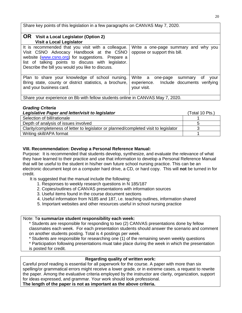Share key points of this legislation in a few paragraphs on CANVAS May 7, 2020.

| <b>OR</b> Visit a Local Legislator (Option 2)<br><b>Visit a Local Legislator</b>                                                                                                                                                                                                       |                                                                                                        |
|----------------------------------------------------------------------------------------------------------------------------------------------------------------------------------------------------------------------------------------------------------------------------------------|--------------------------------------------------------------------------------------------------------|
| It is recommended that you visit with a colleague.<br>Visit CSNO Advocacy Handbook at the CSNO<br>website (www.csno.org) for suggestions. Prepare a<br>list of talking points to discuss with legislator.<br>Describe the bill you would you like to discuss.                          | Write a one-page summary and why you<br>oppose or support this bill.                                   |
| Plan to share your knowledge of school nursing.<br>Bring state, county or district statistics, a brochure,<br>and your business card.<br>$\Omega_{\text{base}}$ is a subsequence of $\Omega_{\text{base}}$ is the set of the set of $\Omega$ AND $\Omega$ $\Omega$ Mess $\Xi$ $\Omega$ | Write a<br>0t<br>one-page<br>vour<br>summary<br>experience. Include documents verifying<br>your visit. |

Share your experience on Bb with fellow students online in CANVAS May 7, 2020.

#### *Grading Criteria*

| Legislative Paper and letter/visit to legislator                                      | (Total 10 Pts.) |
|---------------------------------------------------------------------------------------|-----------------|
| Selection of bill/rationale                                                           |                 |
| Depth of analysis of issues involved                                                  |                 |
| Clarity/completeness of letter to legislator or planned/completed visit to legislator |                 |
| Writing skill/APA format                                                              |                 |

## **VIII. Recommendation: Develop a Personal Reference Manual:**

Purpose: It is recommended that students develop, synthesize, and evaluate the relevance of what they have learned to their practice and use that information to develop a Personal Reference Manual that will be useful to the student in his/her own future school nursing practice. This can be an electronic document kept on a computer hard drive, a CD, or hard copy. This will **not** be turned in for credit.

It is suggested that the manual include the following:

- 1. Responses to weekly research questions in N 185/187
- 2. Copies/outlines of CANVAS presentations with information sources
- 3. Useful items found in the course document sections
- 4. Useful information from N185 and 187, i.e. teaching outlines, information shared
- 5. Important websites and other resources useful in school nursing practice

#### Note: T**o summarize student responsibility each week:**

\* Students are responsible for responding to two (2) CANVAS presentations done by fellow classmates each week. For each presentation students should answer the scenario and comment on another students posting. Total is 4 postings per week.

\* Students are responsible for researching one (1) of the remaining seven weekly questions

\* Participation following presentations muat take place during the week in which the presentation

is posted for credit.

## **Regarding quality of written work:**

Careful proof reading is essential for all paperwork for the course. A paper with more than six spelling/or grammatical errors might receive a lower grade, or in extreme cases, a request to rewrite the paper. Among the evaluative criteria employed by the instructor are clarity, organization, support for ideas expressed, and grammar. Your work should look professional.

**The length of the paper is not as important as the above criteria.**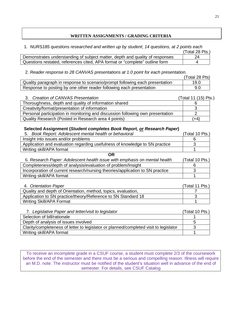#### **WRITTEN ASSIGNMENTS / GRADING CRITERIA**

1. *NURS185 questions researched and written up by student*; *14 questions, at 2 points each*

|                                                                              | (Total 28 Pts.) |
|------------------------------------------------------------------------------|-----------------|
| Demonstrates understanding of subject matter, depth and quality of responses | 24              |
| Questions restated, references cited, APA format or "complete" outline form  |                 |

2. *Reader response to 28 CANVAS presentations at 1.0 point for each presentation.*

|                                                                              | (Total 28 Pts) |
|------------------------------------------------------------------------------|----------------|
| Quality paragraph in response to scenario/prompt following each presentation | 19.0           |
| Response to posting by one other reader following each presentation          | 9.0            |

| 3. Creation of CANVAS Presentation                                             | (Total 11 (15) Pts.) |
|--------------------------------------------------------------------------------|----------------------|
| Thoroughness, depth and quality of information shared                          |                      |
| Creativity/format/presentation of information                                  |                      |
| Personal participation in monitoring and discussion following own presentation |                      |
| Quality Research (Posted in Research area 4 points)                            | (+4)                 |

#### **Selected Assignment (***Student completes Book Report, or Research Paper***)**

| 5. Book Report: Adolescent mental health or behavioral                      | (Total 10 Pts.) |
|-----------------------------------------------------------------------------|-----------------|
| Insight into issues and/or problems                                         |                 |
| Application and evaluation regarding usefulness of knowledge to SN practice |                 |
| Writing skill/APA format                                                    |                 |

**OR**

| 6. Research Paper: Adolescent health issue with emphasis on mental health     | (Total 10 Pts.) |
|-------------------------------------------------------------------------------|-----------------|
| Completeness/depth of analysis/evaluation of problem/Insight                  |                 |
| Incorporation of current research/nursing theories/application to SN practice |                 |
| Writing skill/APA format                                                      |                 |

| 4. Orientation Paper                                          | (Total 11 Pts.) |
|---------------------------------------------------------------|-----------------|
| Quality and depth of Orientation, method, topics, evaluation, |                 |
| Application to SN practice/theory/Reference to SN Standard 18 |                 |
| Writing Skill/APA Format                                      |                 |

| 7. Legislative Paper and letter/visit to legislator                                   | (Total 10 Pts.) |
|---------------------------------------------------------------------------------------|-----------------|
| Selection of bill/rationale                                                           |                 |
| Depth of analysis of issues involved                                                  | h               |
| Clarity/completeness of letter to legislator or planned/completed visit to legislator |                 |
| Writing skill/APA format                                                              |                 |

To receive an incomplete grade in a CSUF course, a student must complete 2/3 of the coursework before the end of the semester and there must be a serious and compelling reason. Illness will require an M.D. note. The instructor must be notified of the student's situation well in advance of the end of semester. For details, see CSUF Catalog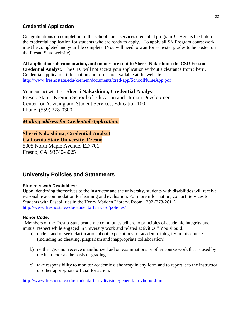# **Credential Application**

Congratulations on completion of the school nurse services credential program!!! Here is the link to the credential application for students who are ready to apply. To apply all SN Program coursework must be completed and your file complete. (You will need to wait for semester grades to be posted on the Fresno State website).

**All applications documentation, and monies are sent to Sherri Nakashima the CSU Fresno Credential Analyst.** The CTC will not accept your application without a clearance from Sherri. Credential application information and forms are available at the website: <http://www.fresnostate.edu/kremen/documents/cred-app/SchoolNurseApp.pdf>

Your contact will be: **Sherri Nakashima, Credential Analyst**  Fresno State - Kremen School of Education and Human Development Center for Advising and Student Services, Education 100 Phone: (559) 278-0300

*Mailing address for Credential Application:*

# **Sherri Nakashima, Credential Analyst California State University, Fresno**

5005 North Maple Avenue, ED 701 Fresno, CA 93740-8025

# **University Policies and Statements**

## **Students with Disabilities:**

Upon identifying themselves to the instructor and the university, students with disabilities will receive reasonable accommodation for learning and evaluation. For more information, contact Services to Students with Disabilities in the Henry Madden Library, Room 1202 (278-2811). <http://www.fresnostate.edu/studentaffairs/ssd/policies/>

## **Honor Code:**

"Members of the Fresno State academic community adhere to principles of academic integrity and mutual respect while engaged in university work and related activities." You should:

- a) understand or seek clarification about expectations for academic integrity in this course (including no cheating, plagiarism and inappropriate collaboration)
- b) neither give nor receive unauthorized aid on examinations or other course work that is used by the instructor as the basis of grading.
- c) take responsibility to monitor academic dishonesty in any form and to report it to the instructor or other appropriate official for action.

<http://www.fresnostate.edu/studentaffairs/division/general/univhonor.html>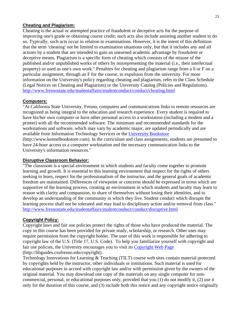#### **Cheating and Plagiarism:**

Cheating is the actual or attempted practice of fraudulent or deceptive acts for the purpose of improving one's grade or obtaining course credit; such acts also include assisting another student to do so. Typically, such acts occur in relation to examinations. However, it is the intent of this definition that the term 'cheating' not be limited to examination situations only, but that it includes any and all actions by a student that are intended to gain an unearned academic advantage by fraudulent or deceptive means. Plagiarism is a specific form of cheating which consists of the misuse of the published and/or unpublished works of others by misrepresenting the material (i.e., their intellectual property) so used as one's own work." Penalties for cheating and plagiarism range from a 0 or F on a particular assignment, through an F for the course, to expulsion from the university. For more information on the University's policy regarding cheating and plagiarism, refer to the Class Schedule (Legal Notices on Cheating and Plagiarism) or the University Catalog (Policies and Regulations). <http://www.fresnostate.edu/studentaffairs/studentconduct/conduct/cheating.html>

#### **Computers:**

"At California State University, Fresno, computers and communications links to remote resources are recognized as being integral to the education and research experience. Every student is required to have his/her own computer or have other personal access to a workstation (including a modem and a printer) with all the recommended software. The minimum and recommended standards for the workstations and software, which may vary by academic major, are updated periodically and are available from Information Technology Services or the [University Bookstore](http://www.kennelbookstore.com/SiteText.aspx?id=20666) (http://www.kennelbookstore.com). In the curriculum and class assignments, students are presumed to have 24-hour access to a computer workstation and the necessary communication links to the University's information resources."

#### **Disruptive Classroom Behavior:**

"The classroom is a special environment in which students and faculty come together to promote learning and growth. It is essential to this learning environment that respect for the rights of others seeking to learn, respect for the professionalism of the instructor, and the general goals of academic freedom are maintained. Differences of viewpoint or concerns should be expressed in terms which are supportive of the learning process, creating an environment in which students and faculty may learn to reason with clarity and compassion, to share of themselves without losing their identities, and to develop an understanding of the community in which they live. Student conduct which disrupts the learning process shall not be tolerated and may lead to disciplinary action and/or removal from class." <http://www.fresnostate.edu/studentaffairs/studentconduct/conduct/disruptive.html>

#### **Copyright Policy:**

Copyright laws and fair use policies protect the rights of those who have produced the material. The copy in this course has been provided for private study, scholarship, or research. Other uses may require permission from the copyright holder. The user of this work is responsible for adhering to copyright law of the U.S. (Title 17, U.S. Code). To help you familiarize yourself with copyright and fair use policies, the University encourages you to visit its Copyright [Web Page](http://libguides.csufresno.edu/copyright)  [\(http://libguides.csufresno.edu/copyright\).](http://libguides.csufresno.edu/copyright)

Technology Innovations for Learning & Teaching (TILT) course web sites contain material protected by copyrights held by the instructor, other individuals or institutions. Such material is used for educational purposes in accord with copyright law and/or with permission given by the owners of the original material. You may download one copy of the materials on any single computer for noncommercial, personal, or educational purposes only, provided that you (1) do not modify it, (2) use it only for the duration of this course, and (3) include both this notice and any copyright notice originally